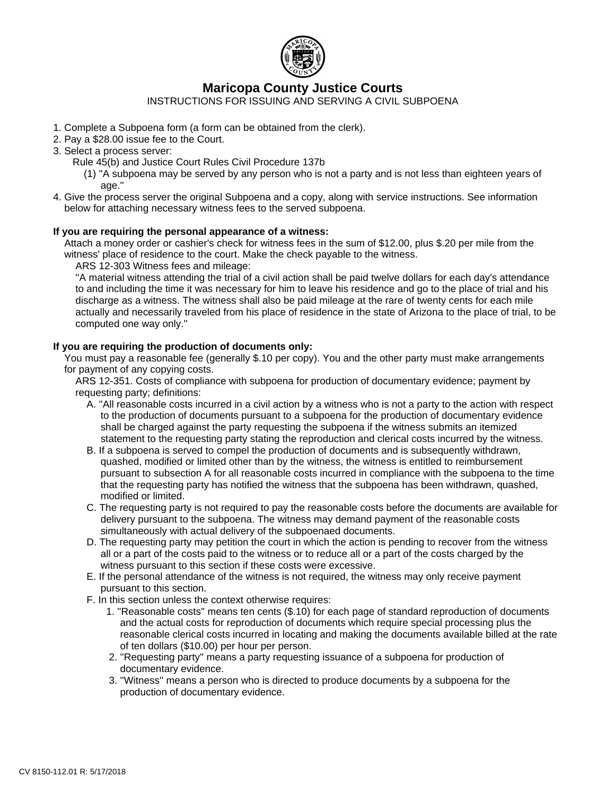

# **Maricopa County Justice Courts**

INSTRUCTIONS FOR ISSUING AND SERVING A CIVIL SUBPOENA

- 1. Complete a Subpoena form (a form can be obtained from the clerk).
- 2. Pay a \$28.00 issue fee to the Court.
- 3. Select a process server:
	- Rule 45(b) and Justice Court Rules Civil Procedure 137b
		- (1) ''A subpoena may be served by any person who is not a party and is not less than eighteen years of age."
- 4. Give the process server the original Subpoena and a copy, along with service instructions. See information below for attaching necessary witness fees to the served subpoena.

## **If you are requiring the personal appearance of a witness:**

 Attach a money order or cashier's check for witness fees in the sum of \$12.00, plus \$.20 per mile from the witness' place of residence to the court. Make the check payable to the witness.

ARS 12-303 Witness fees and mileage:

 ''A material witness attending the trial of a civil action shall be paid twelve dollars for each day's attendance to and including the time it was necessary for him to leave his residence and go to the place of trial and his discharge as a witness. The witness shall also be paid mileage at the rare of twenty cents for each mile actually and necessarily traveled from his place of residence in the state of Arizona to the place of trial, to be computed one way only.''

## **If you are requiring the production of documents only:**

 You must pay a reasonable fee (generally \$.10 per copy). You and the other party must make arrangements for payment of any copying costs.

 ARS 12-351. Costs of compliance with subpoena for production of documentary evidence; payment by requesting party; definitions:

- A. ''All reasonable costs incurred in a civil action by a witness who is not a party to the action with respect to the production of documents pursuant to a subpoena for the production of documentary evidence shall be charged against the party requesting the subpoena if the witness submits an itemized statement to the requesting party stating the reproduction and clerical costs incurred by the witness.
- B. If a subpoena is served to compel the production of documents and is subsequently withdrawn, quashed, modified or limited other than by the witness, the witness is entitled to reimbursement pursuant to subsection A for all reasonable costs incurred in compliance with the subpoena to the time that the requesting party has notified the witness that the subpoena has been withdrawn, quashed, modified or limited.
- C. The requesting party is not required to pay the reasonable costs before the documents are available for delivery pursuant to the subpoena. The witness may demand payment of the reasonable costs simultaneously with actual delivery of the subpoenaed documents.
- D. The requesting party may petition the court in which the action is pending to recover from the witness all or a part of the costs paid to the witness or to reduce all or a part of the costs charged by the witness pursuant to this section if these costs were excessive.
- E. If the personal attendance of the witness is not required, the witness may only receive payment pursuant to this section.
- F. In this section unless the context otherwise requires:
	- 1. ''Reasonable costs'' means ten cents (\$.10) for each page of standard reproduction of documents and the actual costs for reproduction of documents which require special processing plus the reasonable clerical costs incurred in locating and making the documents available billed at the rate of ten dollars (\$10.00) per hour per person.
	- 2. ''Requesting party'' means a party requesting issuance of a subpoena for production of documentary evidence.
	- 3. ''Witness'' means a person who is directed to produce documents by a subpoena for the production of documentary evidence.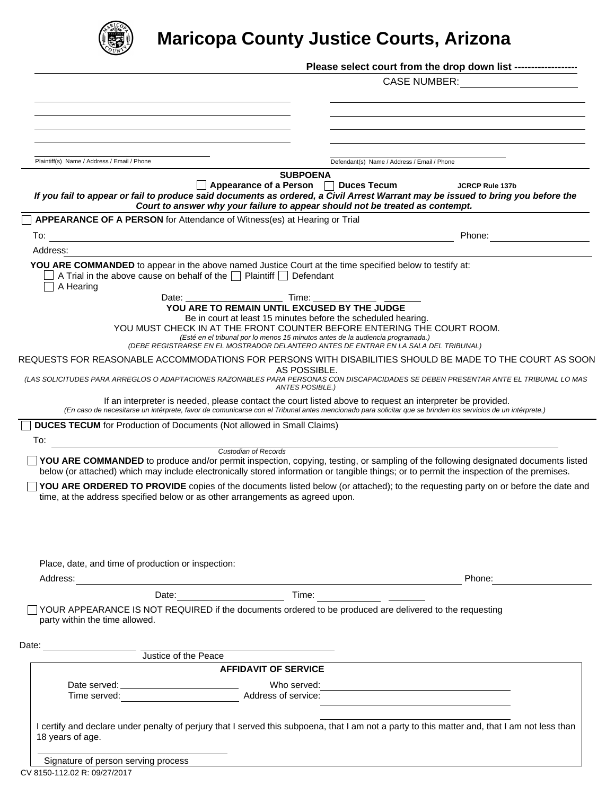

# **Maricopa County Justice Courts, Arizona**

|                                                                                                                                                                                                       | Please select court from the drop down list ------------------                                                                                                                                                                                                                           |  |
|-------------------------------------------------------------------------------------------------------------------------------------------------------------------------------------------------------|------------------------------------------------------------------------------------------------------------------------------------------------------------------------------------------------------------------------------------------------------------------------------------------|--|
|                                                                                                                                                                                                       | <b>CASE NUMBER:</b>                                                                                                                                                                                                                                                                      |  |
|                                                                                                                                                                                                       |                                                                                                                                                                                                                                                                                          |  |
|                                                                                                                                                                                                       |                                                                                                                                                                                                                                                                                          |  |
|                                                                                                                                                                                                       |                                                                                                                                                                                                                                                                                          |  |
| Plaintiff(s) Name / Address / Email / Phone                                                                                                                                                           | Defendant(s) Name / Address / Email / Phone                                                                                                                                                                                                                                              |  |
|                                                                                                                                                                                                       | <b>SUBPOENA</b>                                                                                                                                                                                                                                                                          |  |
|                                                                                                                                                                                                       | Appearance of a Person $\Box$ Duces Tecum<br><b>JCRCP Rule 137b</b><br>If you fail to appear or fail to produce said documents as ordered, a Civil Arrest Warrant may be issued to bring you before the<br>Court to answer why your failure to appear should not be treated as contempt. |  |
| APPEARANCE OF A PERSON for Attendance of Witness(es) at Hearing or Trial                                                                                                                              |                                                                                                                                                                                                                                                                                          |  |
| To:<br><u> 1989 - Andrea Barbara, Amerikaansk politiker († 1908)</u>                                                                                                                                  | Phone:                                                                                                                                                                                                                                                                                   |  |
| Address:                                                                                                                                                                                              |                                                                                                                                                                                                                                                                                          |  |
| YOU ARE COMMANDED to appear in the above named Justice Court at the time specified below to testify at:<br>A Trial in the above cause on behalf of the $\Box$ Plaintiff $\Box$ Defendant<br>A Hearing |                                                                                                                                                                                                                                                                                          |  |
| Date: Time:                                                                                                                                                                                           |                                                                                                                                                                                                                                                                                          |  |
|                                                                                                                                                                                                       | YOU ARE TO REMAIN UNTIL EXCUSED BY THE JUDGE<br>Be in court at least 15 minutes before the scheduled hearing.                                                                                                                                                                            |  |
|                                                                                                                                                                                                       | YOU MUST CHECK IN AT THE FRONT COUNTER BEFORE ENTERING THE COURT ROOM.<br>(Esté en el tribunal por lo menos 15 minutos antes de la audiencia programada.)                                                                                                                                |  |
|                                                                                                                                                                                                       | (DEBE REGISTRARSE EN EL MOSTRADOR DELANTERO ANTES DE ENTRAR EN LA SALA DEL TRIBUNAL)<br>REQUESTS FOR REASONABLE ACCOMMODATIONS FOR PERSONS WITH DISABILITIES SHOULD BE MADE TO THE COURT AS SOON                                                                                         |  |
|                                                                                                                                                                                                       | AS POSSIBLE.<br>(LAS SOLICITUDES PARA ARREGLOS O ADAPTACIONES RAZONABLES PARA PERSONAS CON DISCAPACIDADES SE DEBEN PRESENTAR ANTE EL TRIBUNAL LO MAS<br>ANTES POSIBLE.)                                                                                                                  |  |
|                                                                                                                                                                                                       | If an interpreter is needed, please contact the court listed above to request an interpreter be provided.<br>(En caso de necesitarse un intérprete, favor de comunicarse con el Tribunal antes mencionado para solicitar que se brinden los servicios de un intérprete.)                 |  |
| <b>DUCES TECUM</b> for Production of Documents (Not allowed in Small Claims)                                                                                                                          |                                                                                                                                                                                                                                                                                          |  |
| To:                                                                                                                                                                                                   |                                                                                                                                                                                                                                                                                          |  |
| Custodian of Records                                                                                                                                                                                  | YOU ARE COMMANDED to produce and/or permit inspection, copying, testing, or sampling of the following designated documents listed<br>below (or attached) which may include electronically stored information or tangible things; or to permit the inspection of the premises.            |  |
| time, at the address specified below or as other arrangements as agreed upon.                                                                                                                         | YOU ARE ORDERED TO PROVIDE copies of the documents listed below (or attached); to the requesting party on or before the date and                                                                                                                                                         |  |
|                                                                                                                                                                                                       |                                                                                                                                                                                                                                                                                          |  |
|                                                                                                                                                                                                       |                                                                                                                                                                                                                                                                                          |  |
|                                                                                                                                                                                                       |                                                                                                                                                                                                                                                                                          |  |
| Place, date, and time of production or inspection:                                                                                                                                                    |                                                                                                                                                                                                                                                                                          |  |
|                                                                                                                                                                                                       | Phone:                                                                                                                                                                                                                                                                                   |  |
|                                                                                                                                                                                                       |                                                                                                                                                                                                                                                                                          |  |
| party within the time allowed.                                                                                                                                                                        | YOUR APPEARANCE IS NOT REQUIRED if the documents ordered to be produced are delivered to the requesting                                                                                                                                                                                  |  |
|                                                                                                                                                                                                       |                                                                                                                                                                                                                                                                                          |  |
|                                                                                                                                                                                                       |                                                                                                                                                                                                                                                                                          |  |
| <u>Justice</u> of the Peace                                                                                                                                                                           |                                                                                                                                                                                                                                                                                          |  |
| Date: $\_\_$                                                                                                                                                                                          | <b>AFFIDAVIT OF SERVICE</b>                                                                                                                                                                                                                                                              |  |
| Time served: <u>Contract Contract Address</u> of service:                                                                                                                                             | Who served:                                                                                                                                                                                                                                                                              |  |
| 18 years of age.                                                                                                                                                                                      | I certify and declare under penalty of perjury that I served this subpoena, that I am not a party to this matter and, that I am not less than                                                                                                                                            |  |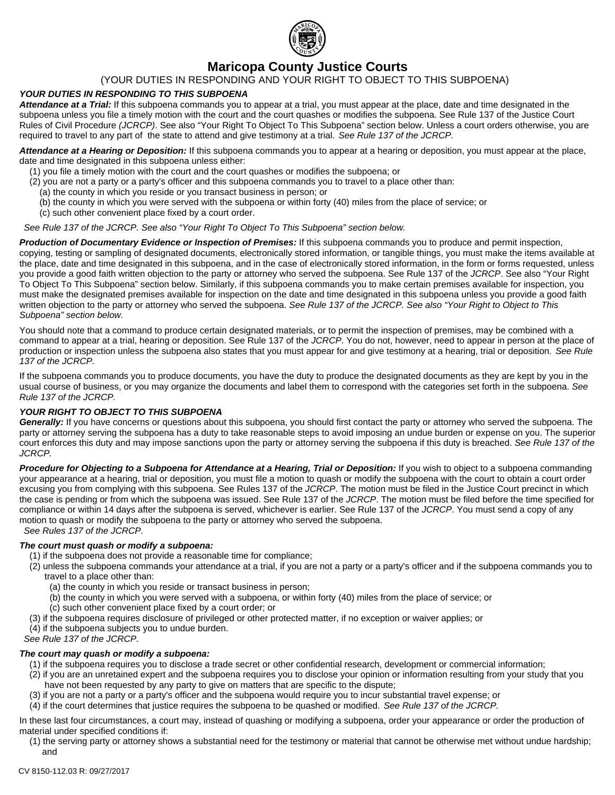

## **Maricopa County Justice Courts**

## (YOUR DUTIES IN RESPONDING AND YOUR RIGHT TO OBJECT TO THIS SUBPOENA)

## *YOUR DUTIES IN RESPONDING TO THIS SUBPOENA*

*Attendance at a Trial:* If this subpoena commands you to appear at a trial, you must appear at the place, date and time designated in the subpoena unless you file a timely motion with the court and the court quashes or modifies the subpoena. See Rule 137 of the Justice Court Rules of Civil Procedure *(JCRCP)*. See also "Your Right To Object To This Subpoena" section below. Unless a court orders otherwise, you are required to travel to any part of the state to attend and give testimony at a trial. *See Rule 137 of the JCRCP.*

*Attendance at a Hearing or Deposition:* If this subpoena commands you to appear at a hearing or deposition, you must appear at the place, date and time designated in this subpoena unless either:

- (1) you file a timely motion with the court and the court quashes or modifies the subpoena; or
- (2) you are not a party or a party's officer and this subpoena commands you to travel to a place other than:
	- (a) the county in which you reside or you transact business in person; or
	- (b) the county in which you were served with the subpoena or within forty (40) miles from the place of service; or
	- (c) such other convenient place fixed by a court order.

 *See Rule 137 of the JCRCP. See also "Your Right To Object To This Subpoena" section below.*

*Production of Documentary Evidence or Inspection of Premises:* If this subpoena commands you to produce and permit inspection, copying, testing or sampling of designated documents, electronically stored information, or tangible things, you must make the items available at the place, date and time designated in this subpoena, and in the case of electronically stored information, in the form or forms requested, unless you provide a good faith written objection to the party or attorney who served the subpoena. See Rule 137 of the *JCRCP*. See also "Your Right To Object To This Subpoena" section below. Similarly, if this subpoena commands you to make certain premises available for inspection, you must make the designated premises available for inspection on the date and time designated in this subpoena unless you provide a good faith written objection to the party or attorney who served the subpoena. *See Rule 137 of the JCRCP. See also "Your Right to Object to This Subpoena" section below.*

You should note that a command to produce certain designated materials, or to permit the inspection of premises, may be combined with a command to appear at a trial, hearing or deposition. See Rule 137 of the *JCRCP*. You do not, however, need to appear in person at the place of production or inspection unless the subpoena also states that you must appear for and give testimony at a hearing, trial or deposition. *See Rule 137 of the JCRCP.*

If the subpoena commands you to produce documents, you have the duty to produce the designated documents as they are kept by you in the usual course of business, or you may organize the documents and label them to correspond with the categories set forth in the subpoena. *See Rule 137 of the JCRCP.*

#### *YOUR RIGHT TO OBJECT TO THIS SUBPOENA*

Generally: If you have concerns or questions about this subpoena, you should first contact the party or attorney who served the subpoena. The party or attorney serving the subpoena has a duty to take reasonable steps to avoid imposing an undue burden or expense on you. The superior court enforces this duty and may impose sanctions upon the party or attorney serving the subpoena if this duty is breached. *See Rule 137 of the JCRCP.*

*Procedure for Objecting to a Subpoena for Attendance at a Hearing, Trial or Deposition:* If you wish to object to a subpoena commanding your appearance at a hearing, trial or deposition, you must file a motion to quash or modify the subpoena with the court to obtain a court order excusing you from complying with this subpoena. See Rules 137 of the *JCRCP*. The motion must be filed in the Justice Court precinct in which the case is pending or from which the subpoena was issued. See Rule 137 of the *JCRCP*. The motion must be filed before the time specified for compliance or within 14 days after the subpoena is served, whichever is earlier. See Rule 137 of the *JCRCP*. You must send a copy of any motion to quash or modify the subpoena to the party or attorney who served the subpoena.  *See Rules 137 of the JCRCP.*

#### *The court must quash or modify a subpoena:*

- (1) if the subpoena does not provide a reasonable time for compliance;
- (2) unless the subpoena commands your attendance at a trial, if you are not a party or a party's officer and if the subpoena commands you to travel to a place other than:
	- (a) the county in which you reside or transact business in person;
	- (b) the county in which you were served with a subpoena, or within forty (40) miles from the place of service; or
	- (c) such other convenient place fixed by a court order; or
- (3) if the subpoena requires disclosure of privileged or other protected matter, if no exception or waiver applies; or
- (4) if the subpoena subjects you to undue burden.

*See Rule 137 of the JCRCP.*

- *The court may quash or modify a subpoena:*
	- (1) if the subpoena requires you to disclose a trade secret or other confidential research, development or commercial information;
	- (2) if you are an unretained expert and the subpoena requires you to disclose your opinion or information resulting from your study that you have not been requested by any party to give on matters that are specific to the dispute;
	- (3) if you are not a party or a party's officer and the subpoena would require you to incur substantial travel expense; or
- (4) if the court determines that justice requires the subpoena to be quashed or modified. *See Rule 137 of the JCRCP.*

In these last four circumstances, a court may, instead of quashing or modifying a subpoena, order your appearance or order the production of material under specified conditions if:

(1) the serving party or attorney shows a substantial need for the testimony or material that cannot be otherwise met without undue hardship; and